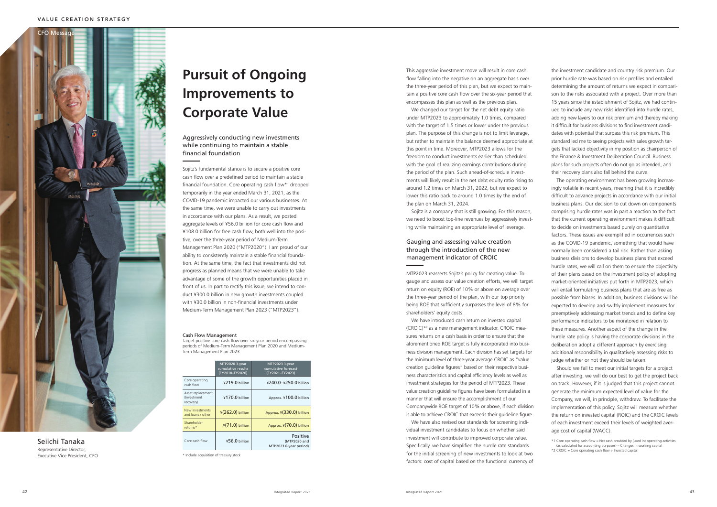the investment candidate and country risk premium. Our prior hurdle rate was based on risk profiles and entailed determining the amount of returns we expect in compari son to the risks associated with a project. Over more than 15 years since the establishment of Sojitz, we had contin ued to include any new risks identified into hurdle rates, adding new layers to our risk premium and thereby making it difficult for business divisions to find investment candi dates with potential that surpass this risk premium. This standard led me to seeing projects with sales growth targets that lacked objectivity in my position as chairperson of the Finance & Investment Deliberation Council. Business plans for such projects often do not go as intended, and their recovery plans also fall behind the curve.

The operating environment has been growing increas ingly volatile in recent years, meaning that it is incredibly difficult to advance projects in accordance with our initial business plans. Our decision to cut down on components comprising hurdle rates was in part a reaction to the fact that the current operating environment makes it difficult to decide on investments based purely on quantitative factors. These issues are exemplified in occurrences such as the COVID-19 pandemic, something that would have normally been considered a tail risk. Rather than asking business divisions to develop business plans that exceed hurdle rates, we will call on them to ensure the objectivity of their plans based on the investment policy of adopting market-oriented initiatives put forth in MTP2023, which will entail formulating business plans that are as free as possible from biases. In addition, business divisions will be expected to develop and swiftly implement measures for preemptively addressing market trends and to define key performance indicators to be monitored in relation to these measures. Another aspect of the change in the hurdle rate policy is having the corporate divisions in the deliberation adopt a different approach by exercising additional responsibility in qualitatively assessing risks to judge whether or not they should be taken.

We changed our target for the net debt equity ratio under MTP2023 to approximately 1.0 times, compared with the target of 1.5 times or lower under the previous plan. The purpose of this change is not to limit leverage, but rather to maintain the balance deemed appropriate at this point in time. Moreover, MTP2023 allows for the freedom to conduct investments earlier than scheduled with the goal of realizing earnings contributions during the period of the plan. Such ahead-of-schedule invest ments will likely result in the net debt equity ratio rising to around 1.2 times on March 31, 2022, but we expect to lower this ratio back to around 1.0 times by the end of the plan on March 31, 2024.

> Should we fail to meet our initial targets for a project after investing, we will do our best to get the project back on track. However, if it is judged that this project cannot generate the minimum expected level of value for the Company, we will, in principle, withdraw. To facilitate the implementation of this policy, Sojitz will measure whether the return on invested capital (ROIC) and the CROIC levels of each investment exceed their levels of weighted aver age cost of capital (WACC).

This aggressive investment move will result in core cash flow falling into the negative on an aggregate basis over the three-year period of this plan, but we expect to main tain a positive core cash flow over the six-year period that encompasses this plan as well as the previous plan.

Sojitz is a company that is still growing. For this reason, we need to boost top-line revenues by aggressively invest ing while maintaining an appropriate level of leverage.

# Gauging and assessing value creation through the introduction of the new management indicator of CROIC

MTP2023 reasserts Sojitz's policy for creating value. To gauge and assess our value creation efforts, we will target return on equity (ROE) of 10% or above on average over the three-year period of the plan, with our top priority being ROE that sufficiently surpasses the level of 8% for shareholders' equity costs.

We have introduced cash return on invested capital (CROIC)\* 2 as a new management indicator. CROIC mea sures returns on a cash basis in order to ensure that the aforementioned ROE target is fully incorporated into busi ness division management. Each division has set targets for the minimum level of three-year average CROIC as "value creation guideline figures" based on their respective busi ness characteristics and capital efficiency levels as well as investment strategies for the period of MTP2023. These value creation guideline figures have been formulated in a manner that will ensure the accomplishment of our Companywide ROE target of 10% or above, if each division is able to achieve CROIC that exceeds their guideline figure.

We have also revised our standards for screening indi vidual investment candidates to focus on whether said investment will contribute to improved corporate value. Specifically, we have simplified the hurdle rate standards for the initial screening of new investments to look at two factors: cost of capital based on the functional currency of



Seiichi Tanaka Representative Director, Executive Vice President, CFO Aggressively conducting new investments while continuing to maintain a stable financial foundation

Sojitz's fundamental stance is to secure a positive core cash flow over a predefined period to maintain a stable financial foundation. Core operating cash flow\* 1 dropped temporarily in the year ended March 31, 2021, as the COVID-19 pandemic impacted our various businesses. At the same time, we were unable to carry out investments in accordance with our plans. As a result, we posted aggregate levels of ¥56.0 billion for core cash flow and ¥108.0 billion for free cash flow, both well into the posi tive, over the three-year period of Medium-Term Management Plan 2020 ("MTP2020"). I am proud of our ability to consistently maintain a stable financial founda tion. At the same time, the fact that investments did not progress as planned means that we were unable to take advantage of some of the growth opportunities placed in front of us. In part to rectify this issue, we intend to con duct ¥300.0 billion in new growth investments coupled with ¥30.0 billion in non-financial investments under Medium-Term Management Plan 2023 ("MTP2023").

|                                                | MTP2020 3-year<br>cumulative results<br>(FY2018-FY2020) | MTP2023 3-year<br>cumulative forecast<br>(FY2021-FY2023) |
|------------------------------------------------|---------------------------------------------------------|----------------------------------------------------------|
| Core operating<br>cash flow                    | ¥219.0 billion                                          | ¥240.0-¥250.0 billion                                    |
| Asset replacement<br>(Investment)<br>recovery) | ¥170.0 billion                                          | Approx. ¥100.0 billion                                   |
| New investments<br>and loans / other           | $\frac{1}{2}$ (262.0) billion                           | Approx. ¥(330.0) billion                                 |
| Shareholder<br>returns*                        | $\frac{1}{2}$ (71.0) billion                            | Approx. ¥(70.0) billion                                  |
| Core cash flow                                 | ¥56.0 billion                                           | Positive<br>(MTP2020 and<br>MTP2023 6-year period)       |

\* Include acquisition of treasury stock

#### Cash Flow Management

Target positive core cash flow over six-year period encompassing periods of Medium-Term Management Plan 2020 and Medium-Term Management Plan 2023

# **Pursuit of Ongoing Improvements to Corporate Value**

<sup>\*1</sup> Core operating cash flow = Net cash provided by (used in) operating activities (as calculated for accounting purposes) – Changes in working capital

<sup>\*2</sup> CROIC = Core operating cash flow ÷ Invested capital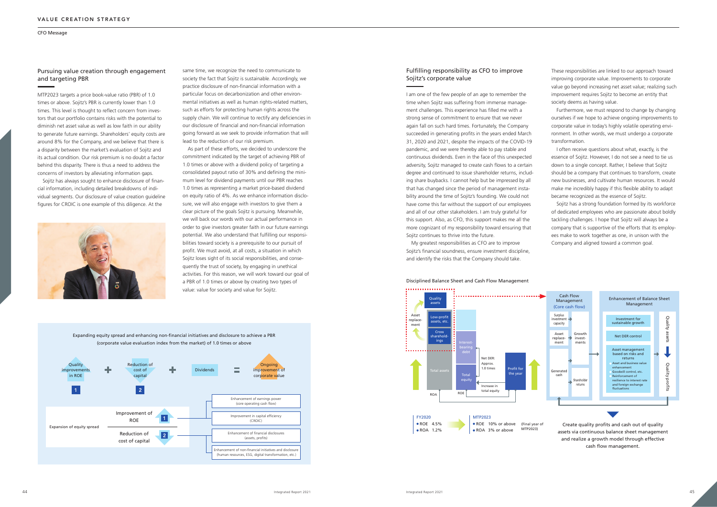same time, we recognize the need to communicate to society the fact that Sojitz is sustainable. Accordingly, we practice disclosure of non-financial information with a particular focus on decarbonization and other environmental initiatives as well as human rights-related matters, such as efforts for protecting human rights across the supply chain. We will continue to rectify any deficiencies in our disclosure of financial and non-financial information going forward as we seek to provide information that will lead to the reduction of our risk premium.

As part of these efforts, we decided to underscore the commitment indicated by the target of achieving PBR of 1.0 times or above with a dividend policy of targeting a consolidated payout ratio of 30% and defining the minimum level for dividend payments until our PBR reaches 1.0 times as representing a market price-based dividend on equity ratio of 4%. As we enhance information disclosure, we will also engage with investors to give them a clear picture of the goals Sojitz is pursuing. Meanwhile, we will back our words with our actual performance in order to give investors greater faith in our future earnings potential. We also understand that fulfilling our responsibilities toward society is a prerequisite to our pursuit of profit. We must avoid, at all costs, a situation in which Sojitz loses sight of its social responsibilities, and consequently the trust of society, by engaging in unethical activities. For this reason, we will work toward our goal of a PBR of 1.0 times or above by creating two types of value: value for society and value for Sojitz.

# Fulfilling responsibility as CFO to improve Sojitz's corporate value

I am one of the few people of an age to remember the time when Sojitz was suffering from immense management challenges. This experience has filled me with a strong sense of commitment to ensure that we never again fall on such hard times. Fortunately, the Company succeeded in generating profits in the years ended March 31, 2020 and 2021, despite the impacts of the COVID-19 pandemic, and we were thereby able to pay stable and continuous dividends. Even in the face of this unexpected adversity, Sojitz managed to create cash flows to a certain degree and continued to issue shareholder returns, including share buybacks. I cannot help but be impressed by all that has changed since the period of management instability around the time of Sojitz's founding. We could not have come this far without the support of our employees and all of our other stakeholders. I am truly grateful for this support. Also, as CFO, this support makes me all the more cognizant of my responsibility toward ensuring that Sojitz continues to thrive into the future.

My greatest responsibilities as CFO are to improve Sojitz's financial soundness, ensure investment discipline, and identify the risks that the Company should take.

These responsibilities are linked to our approach toward improving corporate value. Improvements to corporate value go beyond increasing net asset value; realizing such improvement requires Sojitz to become an entity that society deems as having value.

Furthermore, we must respond to change by changing ourselves if we hope to achieve ongoing improvements to corporate value in today's highly volatile operating environment. In other words, we must undergo a corporate transformation.

I often receive questions about what, exactly, is the essence of Sojitz. However, I do not see a need to tie us down to a single concept. Rather, I believe that Sojitz should be a company that continues to transform, create new businesses, and cultivate human resources. It would make me incredibly happy if this flexible ability to adapt became recognized as the essence of Sojitz.

Sojitz has a strong foundation formed by its workforce of dedicated employees who are passionate about boldly tackling challenges. I hope that Sojitz will always be a company that is supportive of the efforts that its employees make to work together as one, in unison with the Company and aligned toward a common goal.

# Pursuing value creation through engagement and targeting PBR

MTP2023 targets a price book-value ratio (PBR) of 1.0 times or above. Sojitz's PBR is currently lower than 1.0 times. This level is thought to reflect concern from investors that our portfolio contains risks with the potential to diminish net asset value as well as low faith in our ability to generate future earnings. Shareholders' equity costs are around 8% for the Company, and we believe that there is a disparity between the market's evaluation of Sojitz and its actual condition. Our risk premium is no doubt a factor behind this disparity. There is thus a need to address the concerns of investors by alleviating information gaps.

Sojitz has always sought to enhance disclosure of financial information, including detailed breakdowns of individual segments. Our disclosure of value creation guideline figures for CROIC is one example of this diligence. At the



#### Disciplined Balance Sheet and Cash Flow Management

assets via continuous balance sheet management and realize a growth model through effective cash flow management.

Expanding equity spread and enhancing non-financial initiatives and disclosure to achieve a PBR (corporate value evaluation index from the market) of 1.0 times or above



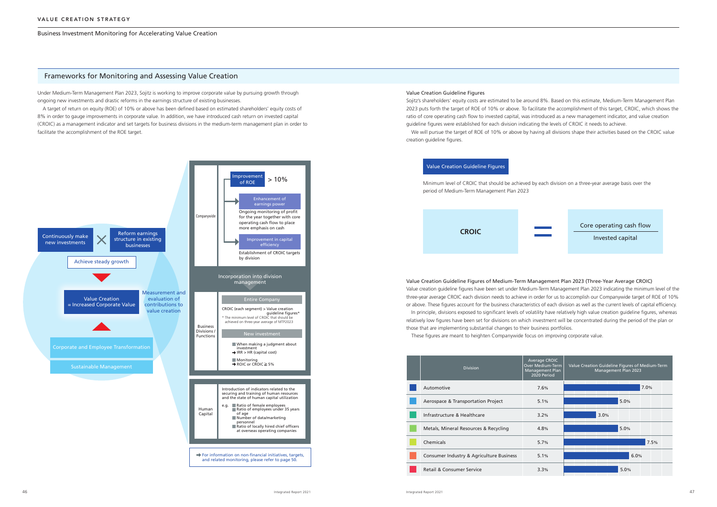#### Business Investment Monitoring for Accelerating Value Creation

Under Medium-Term Management Plan 2023, Sojitz is working to improve corporate value by pursuing growth through ongoing new investments and drastic reforms in the earnings structure of existing businesses.

A target of return on equity (ROE) of 10% or above has been defined based on estimated shareholders' equity costs of 8% in order to gauge improvements in corporate value. In addition, we have introduced cash return on invested capital (CROIC) as a management indicator and set targets for business divisions in the medium-term management plan in order to facilitate the accomplishment of the ROE target.

### Frameworks for Monitoring and Assessing Value Creation

#### Value Creation Guideline Figures



Sojitz's shareholders' equity costs are estimated to be around 8%. Based on this estimate, Medium-Term Management Plan 2023 puts forth the target of ROE of 10% or above. To facilitate the accomplishment of this target, CROIC, which shows the ratio of core operating cash flow to invested capital, was introduced as a new management indicator, and value creation guideline figures were established for each division indicating the levels of CROIC it needs to achieve. We will pursue the target of ROE of 10% or above by having all divisions shape their activities based on the CROIC value creation guideline figures.

# Value Creation Guideline Figures of Medium-Term Management Plan 2023 (Three-Year Average CROIC)

Value creation guideline figures have been set under Medium-Term Management Plan 2023 indicating the minimum level of the three-year average CROIC each division needs to achieve in order for us to accomplish our Companywide target of ROE of 10% or above. These figures account for the business characteristics of each division as well as the current levels of capital efficiency. In principle, divisions exposed to significant levels of volatility have relatively high value creation guideline figures, whereas relatively low figures have been set for divisions on which investment will be concentrated during the period of the plan or those that are implementing substantial changes to their business portfolios.

These figures are meant to heighten Companywide focus on improving corporate value.



#### Value Creation Guideline Figures

Minimum level of CROIC that should be achieved by each division on a three-year average basis over the period of Medium-Term Management Plan 2023



Core operating cash flow

Invested capital